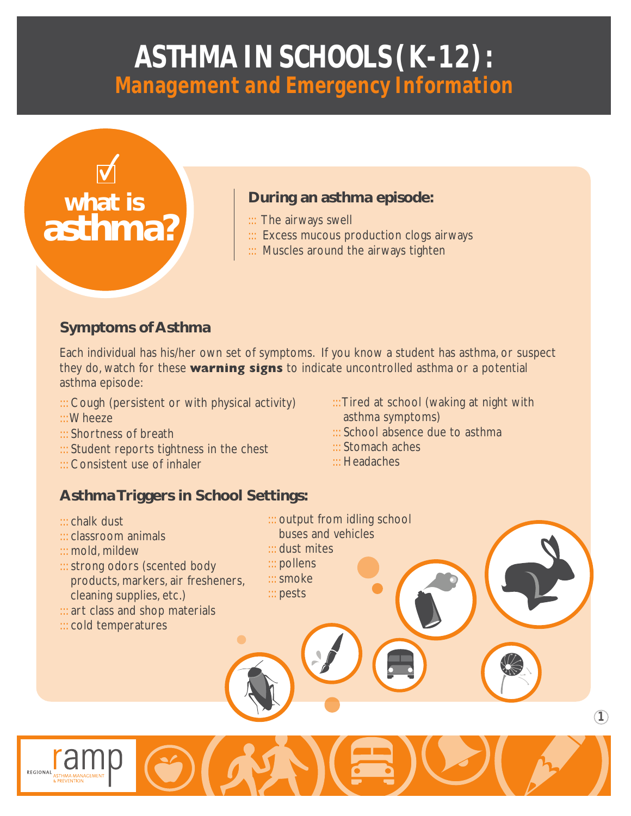# **ASTHMA IN SCHOOLS(K-12): Management and Emergency Information**



#### **During an asthma episode:**

- ::: The airways swell
- ::: Excess mucous production clogs airways
- ::: Muscles around the airways tighten

#### **Symptoms of Asthma**

Each individual has his/her own set of symptoms. If you know a student has asthma, or suspect they do, watch for these **warning signs** to indicate uncontrolled asthma or a potential asthma episode:

> ::: dust mites ::: pollens ::: smoke ::: pests

- ::: Cough (persistent or with physical activity)
- ::: Wheeze
- ::: Shortness of breath
- ::: Student reports tightness in the chest
- ::: Consistent use of inhaler

::: Tired at school (waking at night with asthma symptoms)

**1**

- ::: School absence due to asthma
- ::: Stomach aches
- ::: Headaches

::: output from idling school buses and vehicles

### **Asthma Triggers in School Settings:**

- ::: chalk dust
- ::: classroom animals
- ::: mold, mildew
- ::: strong odors (scented body products, markers, air fresheners, cleaning supplies, etc.)
- ::: art class and shop materials
- ::: cold temperatures

REGIONAL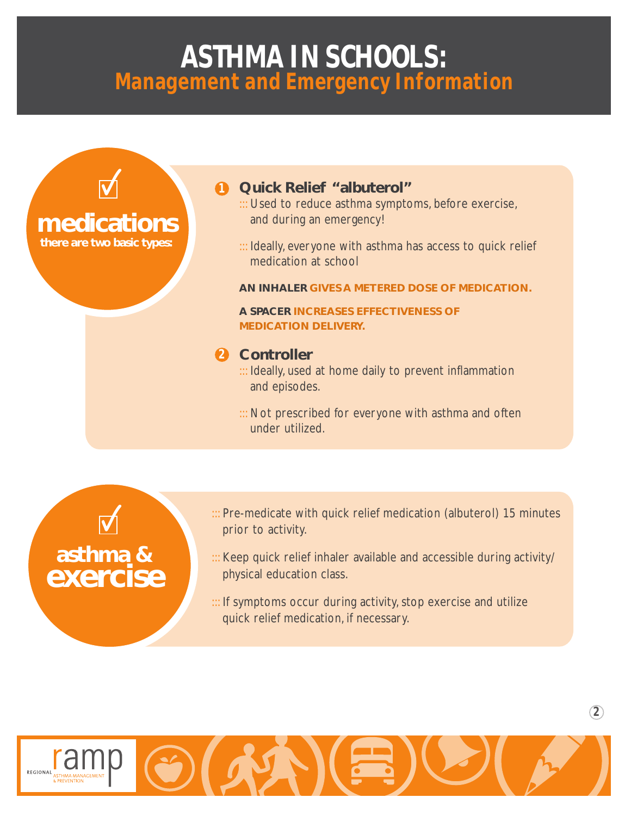### **ASTHMA IN SCHOOLS: Management and Emergency Information**



**asthma &**

**exercise**

#### ::: Pre-medicate with quick relief medication (albuterol) 15 minutes prior to activity.

::: Keep quick relief inhaler available and accessible during activity/ physical education class.

**2**

::: If symptoms occur during activity, stop exercise and utilize quick relief medication, if necessary.